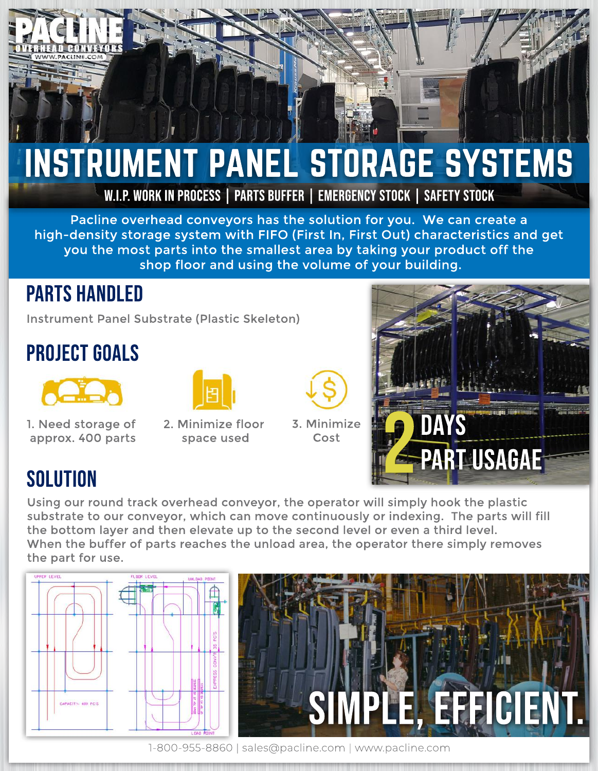

## INSTRUMENT PANEL STORAGE SYSTEMS

W.I.P. WORK IN PROCESS | PARTS BUFFER | EMERGENCY STOCK | SAFETY STOCK

Pacline overhead conveyors has the solution for you. We can create a high-density storage system with FIFO (First In, First Out) characteristics and get you the most parts into the smallest area by taking your product off the shop floor and using the volume of your building.

## **PARTS HANDLED**

Instrument Panel Substrate (Plastic Skeleton)

## **PROJECT GOALS**



- 1. Need storage of approx. 400 parts
- 

2. Minimize floor space used



3.Minimize Cost



## **SOLUTION**

Using our round track overhead conveyor, the operator will simply hook the plastic substrate to our conveyor, which can move continuously or indexing. The parts will fill the bottom layer and then elevate up to the second level or even a third level. When the buffer of parts reaches the unload area, the operator there simply removes the part for use.





1-800-955-8860|sales@pacline.com |www.pacline.com